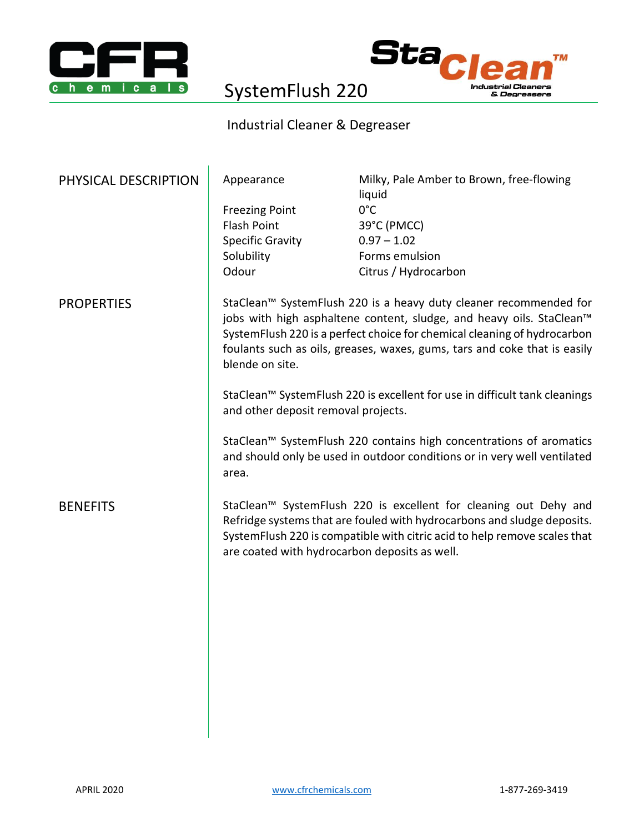



SystemFlush 220

 $\hat{\mathbf{r}}$ 

## Industrial Cleaner & Degreaser

| Forms emulsion<br>Citrus / Hydrocarbon                                                                                                                                                                                                                                                                                                                                           |
|----------------------------------------------------------------------------------------------------------------------------------------------------------------------------------------------------------------------------------------------------------------------------------------------------------------------------------------------------------------------------------|
| StaClean™ SystemFlush 220 is a heavy duty cleaner recommended for<br>jobs with high asphaltene content, sludge, and heavy oils. StaClean™<br>SystemFlush 220 is a perfect choice for chemical cleaning of hydrocarbon<br>foulants such as oils, greases, waxes, gums, tars and coke that is easily<br>StaClean™ SystemFlush 220 is excellent for use in difficult tank cleanings |
| StaClean™ SystemFlush 220 contains high concentrations of aromatics<br>and should only be used in outdoor conditions or in very well ventilated                                                                                                                                                                                                                                  |
| StaClean™ SystemFlush 220 is excellent for cleaning out Dehy and<br>Refridge systems that are fouled with hydrocarbons and sludge deposits.<br>SystemFlush 220 is compatible with citric acid to help remove scales that<br>are coated with hydrocarbon deposits as well.                                                                                                        |
|                                                                                                                                                                                                                                                                                                                                                                                  |